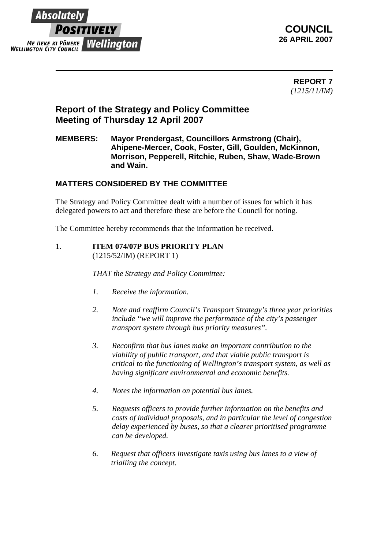

 **REPORT 7** *(1215/11/IM)*

# **Report of the Strategy and Policy Committee Meeting of Thursday 12 April 2007**

## **MEMBERS: Mayor Prendergast, Councillors Armstrong (Chair), Ahipene-Mercer, Cook, Foster, Gill, Goulden, McKinnon, Morrison, Pepperell, Ritchie, Ruben, Shaw, Wade-Brown and Wain.**

# **MATTERS CONSIDERED BY THE COMMITTEE**

The Strategy and Policy Committee dealt with a number of issues for which it has delegated powers to act and therefore these are before the Council for noting.

The Committee hereby recommends that the information be received.

#### 1. **ITEM 074/07P BUS PRIORITY PLAN** (1215/52/IM) (REPORT 1)

*THAT the Strategy and Policy Committee:*

- *1. Receive the information.*
- *2. Note and reaffirm Council's Transport Strategy's three year priorities include "we will improve the performance of the city's passenger transport system through bus priority measures".*
- *3. Reconfirm that bus lanes make an important contribution to the viability of public transport, and that viable public transport is critical to the functioning of Wellington's transport system, as well as having significant environmental and economic benefits.*
- *4. Notes the information on potential bus lanes.*
- *5. Requests officers to provide further information on the benefits and costs of individual proposals, and in particular the level of congestion delay experienced by buses, so that a clearer prioritised programme can be developed.*
- *6. Request that officers investigate taxis using bus lanes to a view of trialling the concept.*